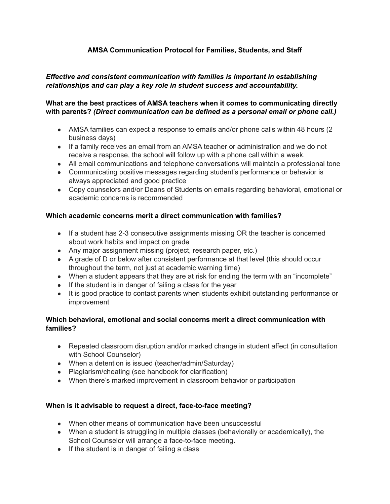# **AMSA Communication Protocol for Families, Students, and Staff**

## *Effective and consistent communication with families is important in establishing relationships and can play a key role in student success and accountability.*

## **What are the best practices of AMSA teachers when it comes to communicating directly with parents?** *(Direct communication can be defined as a personal email or phone call.)*

- AMSA families can expect a response to emails and/or phone calls within 48 hours (2) business days)
- If a family receives an email from an AMSA teacher or administration and we do not receive a response, the school will follow up with a phone call within a week.
- All email communications and telephone conversations will maintain a professional tone
- Communicating positive messages regarding student's performance or behavior is always appreciated and good practice
- Copy counselors and/or Deans of Students on emails regarding behavioral, emotional or academic concerns is recommended

## **Which academic concerns merit a direct communication with families?**

- If a student has 2-3 consecutive assignments missing OR the teacher is concerned about work habits and impact on grade
- Any major assignment missing (project, research paper, etc.)
- A grade of D or below after consistent performance at that level (this should occur throughout the term, not just at academic warning time)
- When a student appears that they are at risk for ending the term with an "incomplete"
- If the student is in danger of failing a class for the year
- It is good practice to contact parents when students exhibit outstanding performance or improvement

## **Which behavioral, emotional and social concerns merit a direct communication with families?**

- Repeated classroom disruption and/or marked change in student affect (in consultation with School Counselor)
- When a detention is issued (teacher/admin/Saturday)
- Plagiarism/cheating (see handbook for clarification)
- When there's marked improvement in classroom behavior or participation

#### **When is it advisable to request a direct, face-to-face meeting?**

- When other means of communication have been unsuccessful
- When a student is struggling in multiple classes (behaviorally or academically), the School Counselor will arrange a face-to-face meeting.
- If the student is in danger of failing a class